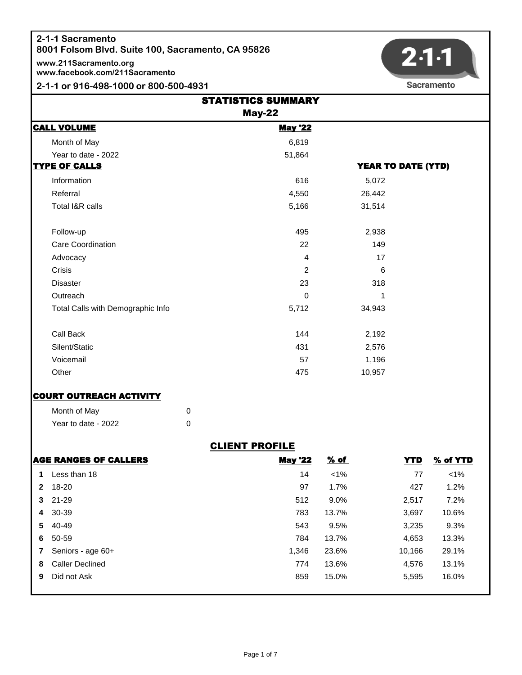**www.211Sacramento.org www.facebook.com/211Sacramento**

#### **2-1-1 or 916-498-1000 or 800-500-4931**



|                                   | <b>STATISTICS SUMMARY</b><br><b>May-22</b> |                           |
|-----------------------------------|--------------------------------------------|---------------------------|
| <b>CALL VOLUME</b>                | <b>May '22</b>                             |                           |
| Month of May                      | 6,819                                      |                           |
| Year to date - 2022               | 51,864                                     |                           |
| <b>TYPE OF CALLS</b>              |                                            | <b>YEAR TO DATE (YTD)</b> |
| Information                       | 616                                        | 5,072                     |
| Referral                          | 4,550                                      | 26,442                    |
| Total I&R calls                   | 5,166                                      | 31,514                    |
| Follow-up                         | 495                                        | 2,938                     |
| Care Coordination                 | 22                                         | 149                       |
| Advocacy                          | 4                                          | 17                        |
| Crisis                            | 2                                          | 6                         |
| <b>Disaster</b>                   | 23                                         | 318                       |
| Outreach                          | $\Omega$                                   | 1                         |
| Total Calls with Demographic Info | 5,712                                      | 34,943                    |
| Call Back                         | 144                                        | 2,192                     |
| Silent/Static                     | 431                                        | 2,576                     |
| Voicemail                         | 57                                         | 1,196                     |
| Other                             | 475                                        | 10,957                    |

#### **COURT OUTREACH ACTIVITY**

| Month of May        |  |
|---------------------|--|
| Year to date - 2022 |  |

## CLIENT PROFILE

|              | AGE RANGES OF CALLERS  | <b>May '22</b> | % of    | <b>YTD</b> | % of YTD |
|--------------|------------------------|----------------|---------|------------|----------|
| 1            | Less than 18           | 14             | $< 1\%$ | 77         | $< 1\%$  |
| $\mathbf{2}$ | 18-20                  | 97             | 1.7%    | 427        | 1.2%     |
|              | $3$ 21-29              | 512            | $9.0\%$ | 2,517      | 7.2%     |
| 4            | 30-39                  | 783            | 13.7%   | 3,697      | 10.6%    |
|              | 5 40-49                | 543            | 9.5%    | 3,235      | 9.3%     |
| 6.           | 50-59                  | 784            | 13.7%   | 4,653      | 13.3%    |
|              | Seniors - age 60+      | 1,346          | 23.6%   | 10,166     | 29.1%    |
| 8            | <b>Caller Declined</b> | 774            | 13.6%   | 4,576      | 13.1%    |
| 9            | Did not Ask            | 859            | 15.0%   | 5,595      | 16.0%    |
|              |                        |                |         |            |          |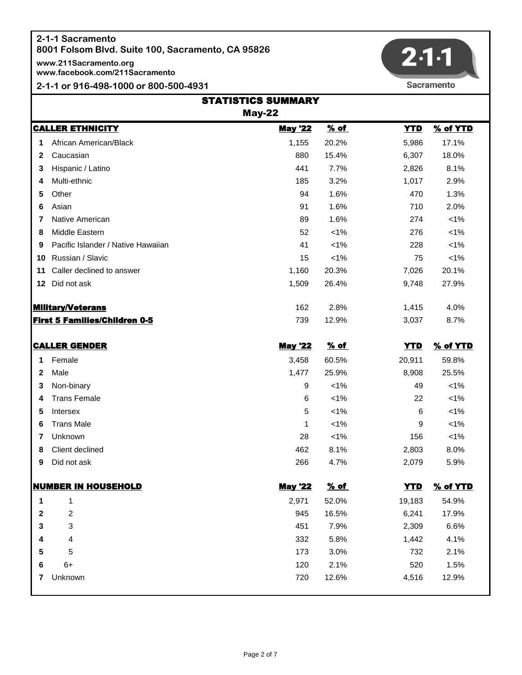**www.211Sacramento.org www.facebook.com/211Sacramento**

#### **2-1-1 or 916-498-1000 or 800-500-4931**



Sacramento

|                          | <b>STATISTICS SUMMARY</b><br><b>May-22</b> |                |             |            |          |
|--------------------------|--------------------------------------------|----------------|-------------|------------|----------|
|                          | <b>CALLER ETHNICITY</b>                    | <b>May '22</b> | % of        | <b>YTD</b> | % of YTD |
| 1                        | African American/Black                     | 1,155          | 20.2%       | 5,986      | 17.1%    |
| 2                        | Caucasian                                  | 880            | 15.4%       | 6,307      | 18.0%    |
| 3                        | Hispanic / Latino                          | 441            | 7.7%        | 2,826      | 8.1%     |
| 4                        | Multi-ethnic                               | 185            | 3.2%        | 1,017      | 2.9%     |
| 5                        | Other                                      | 94             | 1.6%        | 470        | 1.3%     |
| 6                        | Asian                                      | 91             | 1.6%        | 710        | 2.0%     |
| 7                        | Native American                            | 89             | 1.6%        | 274        | $< 1\%$  |
| 8                        | Middle Eastern                             | 52             | $< 1\%$     | 276        | $< 1\%$  |
| 9                        | Pacific Islander / Native Hawaiian         | 41             | $< 1\%$     | 228        | $< 1\%$  |
| 10                       | Russian / Slavic                           | 15             | $< 1\%$     | 75         | $< 1\%$  |
| 11                       | Caller declined to answer                  | 1,160          | 20.3%       | 7,026      | 20.1%    |
| 12                       | Did not ask                                | 1,509          | 26.4%       | 9,748      | 27.9%    |
| <u>Military/Veterans</u> |                                            | 162            | 2.8%        | 1,415      | 4.0%     |
|                          | <b>First 5 Families/Children 0-5</b>       | 739            | 12.9%       | 3,037      | 8.7%     |
|                          | <u>CALLER GENDER</u>                       | <b>May '22</b> | <u>% of</u> | <b>YTD</b> | % of YTD |
| 1                        | Female                                     | 3,458          | 60.5%       | 20,911     | 59.8%    |
| $\mathbf{2}$             | Male                                       | 1,477          | 25.9%       | 8,908      | 25.5%    |
| 3                        | Non-binary                                 | 9              | $< 1\%$     | 49         | $< 1\%$  |
| 4                        | <b>Trans Female</b>                        | 6              | $< 1\%$     | 22         | $< 1\%$  |
| 5                        | Intersex                                   | 5              | $< 1\%$     | 6          | $< 1\%$  |
| 6                        | <b>Trans Male</b>                          | 1              | $< 1\%$     | 9          | $< 1\%$  |
| 7                        | Unknown                                    | 28             | $< 1\%$     | 156        | $< 1\%$  |
| 8                        | Client declined                            | 462            | 8.1%        | 2,803      | 8.0%     |
| 9                        | Did not ask                                | 266            | 4.7%        | 2,079      | 5.9%     |
|                          | <u>NUMBER IN HOUSEHOLD</u>                 | <b>May '22</b> | <u>% of</u> | <b>YTD</b> | % of YTD |
| 1                        | 1                                          | 2,971          | 52.0%       | 19,183     | 54.9%    |
| $\boldsymbol{2}$         | $\overline{\mathbf{c}}$                    | 945            | 16.5%       | 6,241      | 17.9%    |
| 3                        | 3                                          | 451            | 7.9%        | 2,309      | 6.6%     |
| 4                        | 4                                          | 332            | 5.8%        | 1,442      | 4.1%     |
| 5                        | 5                                          | 173            | 3.0%        | 732        | 2.1%     |
| 6                        | $6+$                                       | 120            | 2.1%        | 520        | 1.5%     |
| 7                        | Unknown                                    | 720            | 12.6%       | 4,516      | 12.9%    |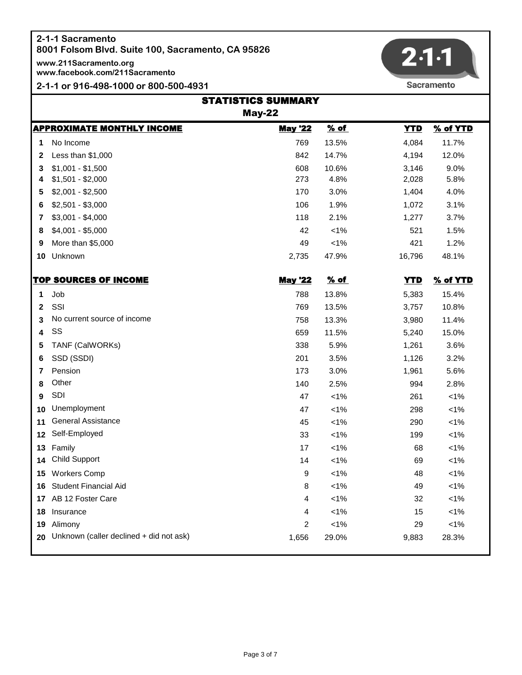**www.211Sacramento.org www.facebook.com/211Sacramento**

**2-1-1 or 916-498-1000 or 800-500-4931**



Sacramento

|                 | <b>STATISTICS SUMMARY</b>               |                |         |            |          |  |
|-----------------|-----------------------------------------|----------------|---------|------------|----------|--|
|                 | <b>May-22</b>                           |                |         |            |          |  |
|                 | <b>APPROXIMATE MONTHLY INCOME</b>       | <b>May '22</b> | % of    | <b>YTD</b> | % of YTD |  |
| 1               | No Income                               | 769            | 13.5%   | 4,084      | 11.7%    |  |
| 2               | Less than \$1,000                       | 842            | 14.7%   | 4,194      | 12.0%    |  |
| 3               | $$1,001 - $1,500$                       | 608            | 10.6%   | 3,146      | 9.0%     |  |
| 4               | $$1,501 - $2,000$                       | 273            | 4.8%    | 2,028      | 5.8%     |  |
| 5               | $$2,001 - $2,500$                       | 170            | 3.0%    | 1,404      | 4.0%     |  |
| 6               | $$2,501 - $3,000$                       | 106            | 1.9%    | 1,072      | 3.1%     |  |
| 7               | $$3,001 - $4,000$                       | 118            | 2.1%    | 1,277      | 3.7%     |  |
| 8               | $$4,001 - $5,000$                       | 42             | $< 1\%$ | 521        | 1.5%     |  |
| 9               | More than \$5,000                       | 49             | $< 1\%$ | 421        | 1.2%     |  |
| 10              | Unknown                                 | 2,735          | 47.9%   | 16,796     | 48.1%    |  |
|                 | <u>TOP SOURCES OF INCOME</u>            | <b>May '22</b> | % of    | <b>YTD</b> | % of YTD |  |
| 1               | Job                                     | 788            | 13.8%   | 5,383      | 15.4%    |  |
| $\mathbf{2}$    | SSI                                     | 769            | 13.5%   | 3,757      | 10.8%    |  |
| 3               | No current source of income             | 758            | 13.3%   | 3,980      | 11.4%    |  |
| 4               | SS                                      | 659            | 11.5%   | 5,240      | 15.0%    |  |
| 5               | TANF (CalWORKs)                         | 338            | 5.9%    | 1,261      | 3.6%     |  |
| 6               | SSD (SSDI)                              | 201            | 3.5%    | 1,126      | 3.2%     |  |
| 7               | Pension                                 | 173            | 3.0%    | 1,961      | 5.6%     |  |
| 8               | Other                                   | 140            | 2.5%    | 994        | 2.8%     |  |
| 9               | <b>SDI</b>                              | 47             | $< 1\%$ | 261        | $< 1\%$  |  |
| 10              | Unemployment                            | 47             | $< 1\%$ | 298        | $< 1\%$  |  |
| 11              | <b>General Assistance</b>               | 45             | $< 1\%$ | 290        | $< 1\%$  |  |
| 12              | Self-Employed                           | 33             | $< 1\%$ | 199        | $< 1\%$  |  |
| 13              | Family                                  | 17             | $< 1\%$ | 68         | $< 1\%$  |  |
| 14              | <b>Child Support</b>                    | 14             | $< 1\%$ | 69         | $< 1\%$  |  |
| 15              | <b>Workers Comp</b>                     | 9              | $< 1\%$ | 48         | $< 1\%$  |  |
| 16              | <b>Student Financial Aid</b>            | 8              | $< 1\%$ | 49         | $< 1\%$  |  |
| 17 <sub>1</sub> | AB 12 Foster Care                       | 4              | $< 1\%$ | 32         | $< 1\%$  |  |
| 18              | Insurance                               | 4              | $< 1\%$ | 15         | $< 1\%$  |  |
| 19              | Alimony                                 | 2              | $< 1\%$ | 29         | $< 1\%$  |  |
| 20              | Unknown (caller declined + did not ask) | 1,656          | 29.0%   | 9,883      | 28.3%    |  |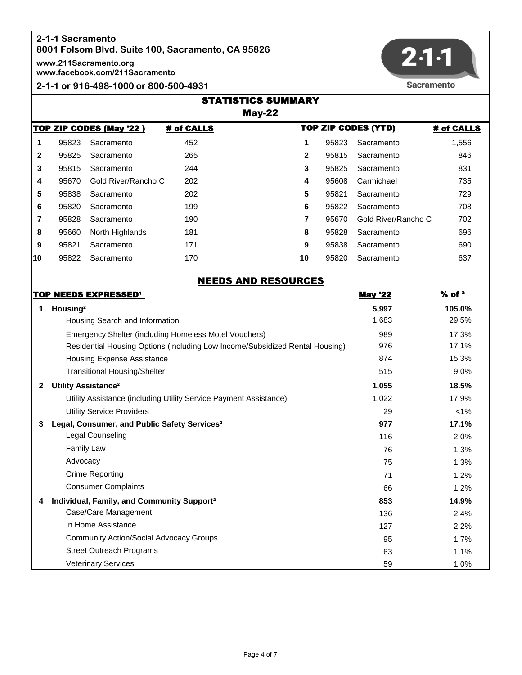# **2-1-1 Sacramento**

**8001 Folsom Blvd. Suite 100, Sacramento, CA 95826**

**www.211Sacramento.org**

**www.facebook.com/211Sacramento**

**2-1-1 or 916-498-1000 or 800-500-4931**



|                                                                                          | <b>STATISTICS SUMMARY</b><br>$May-22$ |                                |     |                            |       |                     |            |
|------------------------------------------------------------------------------------------|---------------------------------------|--------------------------------|-----|----------------------------|-------|---------------------|------------|
| <b>TOP ZIP CODES (YTD)</b><br><b>TOP ZIP CODES (May '22)</b><br># of CALLS<br># of CALLS |                                       |                                |     |                            |       |                     |            |
| 1                                                                                        | 95823                                 | Sacramento                     | 452 | 1                          | 95823 | Sacramento          | 1,556      |
| 2                                                                                        | 95825                                 | Sacramento                     | 265 | $\mathbf{2}$               | 95815 | Sacramento          | 846        |
| 3                                                                                        | 95815                                 | Sacramento                     | 244 | 3                          | 95825 | Sacramento          | 831        |
| 4                                                                                        | 95670                                 | Gold River/Rancho C            | 202 | 4                          | 95608 | Carmichael          | 735        |
| 5                                                                                        | 95838                                 | Sacramento                     | 202 | 5                          | 95821 | Sacramento          | 729        |
| 6                                                                                        | 95820                                 | Sacramento                     | 199 | 6                          | 95822 | Sacramento          | 708        |
| 7                                                                                        | 95828                                 | Sacramento                     | 190 | 7                          | 95670 | Gold River/Rancho C | 702        |
| 8                                                                                        | 95660                                 | North Highlands                | 181 | 8                          | 95828 | Sacramento          | 696        |
| 9                                                                                        | 95821                                 | Sacramento                     | 171 | 9                          | 95838 | Sacramento          | 690        |
| 10                                                                                       | 95822                                 | Sacramento                     | 170 | 10                         | 95820 | Sacramento          | 637        |
|                                                                                          |                                       |                                |     | <b>NEEDS AND RESOURCES</b> |       |                     |            |
|                                                                                          |                                       | TOP NEEDS EXPRESSED'           |     |                            |       | <b>May '22</b>      | $%$ of $3$ |
|                                                                                          | Housing <sup>2</sup>                  |                                |     |                            |       | 5,997               | 105.0%     |
|                                                                                          |                                       | Housing Search and Information |     |                            |       | 1683                | 20F        |

|   | Housing                                                                      | 5,997 | 105.0%  |
|---|------------------------------------------------------------------------------|-------|---------|
|   | Housing Search and Information                                               | 1,683 | 29.5%   |
|   | Emergency Shelter (including Homeless Motel Vouchers)                        | 989   | 17.3%   |
|   | Residential Housing Options (including Low Income/Subsidized Rental Housing) | 976   | 17.1%   |
|   | Housing Expense Assistance                                                   | 874   | 15.3%   |
|   | <b>Transitional Housing/Shelter</b>                                          | 515   | 9.0%    |
| 2 | Utility Assistance <sup>2</sup>                                              | 1,055 | 18.5%   |
|   | Utility Assistance (including Utility Service Payment Assistance)            | 1,022 | 17.9%   |
|   | <b>Utility Service Providers</b>                                             | 29    | $< 1\%$ |
|   | Legal, Consumer, and Public Safety Services <sup>2</sup>                     | 977   | 17.1%   |
|   | Legal Counseling                                                             | 116   | 2.0%    |
|   | <b>Family Law</b>                                                            | 76    | 1.3%    |
|   | Advocacy                                                                     | 75    | 1.3%    |
|   | <b>Crime Reporting</b>                                                       | 71    | 1.2%    |
|   | <b>Consumer Complaints</b>                                                   | 66    | 1.2%    |
| 4 | Individual, Family, and Community Support <sup>2</sup>                       | 853   | 14.9%   |
|   | Case/Care Management                                                         | 136   | 2.4%    |
|   | In Home Assistance                                                           | 127   | 2.2%    |
|   | <b>Community Action/Social Advocacy Groups</b>                               | 95    | 1.7%    |
|   | <b>Street Outreach Programs</b>                                              | 63    | 1.1%    |
|   | <b>Veterinary Services</b>                                                   | 59    | 1.0%    |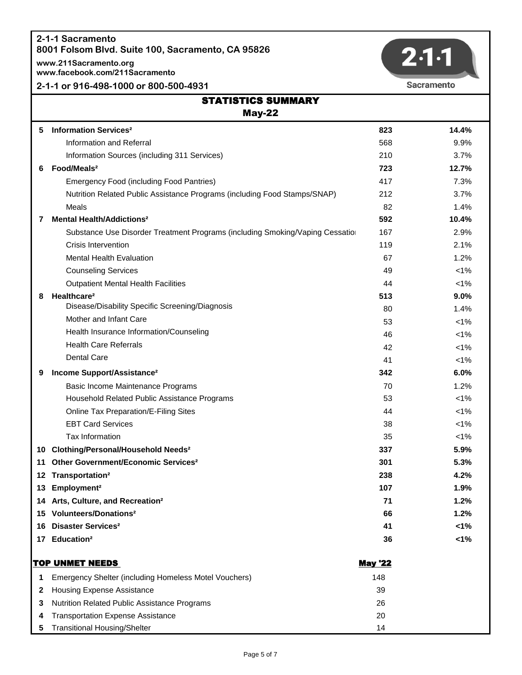**www.211Sacramento.org www.facebook.com/211Sacramento**

## **2-1-1 or 916-498-1000 or 800-500-4931**



|     | <b>STATISTICS SUMMARY</b>                                                    |                |         |  |
|-----|------------------------------------------------------------------------------|----------------|---------|--|
|     | $May-22$                                                                     |                |         |  |
| 5   | <b>Information Services<sup>2</sup></b>                                      | 823            | 14.4%   |  |
|     | Information and Referral                                                     | 568            | 9.9%    |  |
|     | Information Sources (including 311 Services)                                 | 210            | 3.7%    |  |
| 6   | Food/Meals <sup>2</sup>                                                      | 723            | 12.7%   |  |
|     | <b>Emergency Food (including Food Pantries)</b>                              | 417            | 7.3%    |  |
|     | Nutrition Related Public Assistance Programs (including Food Stamps/SNAP)    | 212            | 3.7%    |  |
|     | Meals                                                                        | 82             | 1.4%    |  |
| 7   | <b>Mental Health/Addictions<sup>2</sup></b>                                  | 592            | 10.4%   |  |
|     | Substance Use Disorder Treatment Programs (including Smoking/Vaping Cessatio | 167            | 2.9%    |  |
|     | Crisis Intervention                                                          | 119            | 2.1%    |  |
|     | <b>Mental Health Evaluation</b>                                              | 67             | 1.2%    |  |
|     | <b>Counseling Services</b>                                                   | 49             | $< 1\%$ |  |
|     | <b>Outpatient Mental Health Facilities</b>                                   | 44             | $< 1\%$ |  |
| 8   | Healthcare <sup>2</sup>                                                      | 513            | 9.0%    |  |
|     | Disease/Disability Specific Screening/Diagnosis                              | 80             | 1.4%    |  |
|     | Mother and Infant Care                                                       | 53             | $< 1\%$ |  |
|     | Health Insurance Information/Counseling                                      | 46             | $< 1\%$ |  |
|     | <b>Health Care Referrals</b>                                                 | 42             | $< 1\%$ |  |
|     | <b>Dental Care</b>                                                           | 41             | $< 1\%$ |  |
| 9   | Income Support/Assistance <sup>2</sup>                                       | 342            | 6.0%    |  |
|     | Basic Income Maintenance Programs                                            | 70             | 1.2%    |  |
|     | Household Related Public Assistance Programs                                 | 53             | $< 1\%$ |  |
|     | Online Tax Preparation/E-Filing Sites                                        | 44             | $< 1\%$ |  |
|     | <b>EBT Card Services</b>                                                     | 38             | $< 1\%$ |  |
|     | Tax Information                                                              | 35             | $< 1\%$ |  |
| 10  | <b>Clothing/Personal/Household Needs<sup>2</sup></b>                         | 337            | 5.9%    |  |
| 11  | Other Government/Economic Services <sup>2</sup>                              | 301            | 5.3%    |  |
| 12  | Transportation <sup>2</sup>                                                  | 238            | 4.2%    |  |
| 13. | Employment <sup>2</sup>                                                      | 107            | 1.9%    |  |
|     | 14 Arts, Culture, and Recreation <sup>2</sup>                                | 71             | 1.2%    |  |
| 15  | Volunteers/Donations <sup>2</sup>                                            | 66             | 1.2%    |  |
| 16  | <b>Disaster Services<sup>2</sup></b>                                         | 41             | 1%      |  |
| 17  | Education <sup>2</sup>                                                       | 36             | 1%      |  |
|     | <b>TOP UNMET NEEDS</b>                                                       | <b>May '22</b> |         |  |
| 1   | Emergency Shelter (including Homeless Motel Vouchers)                        | 148            |         |  |
| 2   | <b>Housing Expense Assistance</b>                                            | 39             |         |  |
| 3   | Nutrition Related Public Assistance Programs                                 | 26             |         |  |
| 4   | <b>Transportation Expense Assistance</b>                                     | 20             |         |  |

**5** Transitional Housing/Shelter 14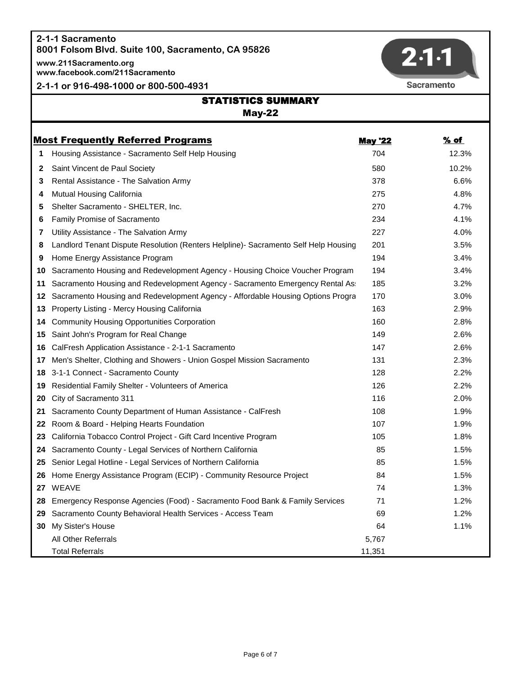**www.211Sacramento.org www.facebook.com/211Sacramento**

**2-1-1 or 916-498-1000 or 800-500-4931**



|    | <b>STATISTICS SUMMARY</b><br><b>May-22</b>                                          |                |       |  |
|----|-------------------------------------------------------------------------------------|----------------|-------|--|
|    |                                                                                     |                |       |  |
|    | <b>Most Frequently Referred Programs</b>                                            | <b>May '22</b> | % of  |  |
| 1  | Housing Assistance - Sacramento Self Help Housing                                   | 704            | 12.3% |  |
| 2  | Saint Vincent de Paul Society                                                       | 580            | 10.2% |  |
| 3  | Rental Assistance - The Salvation Army                                              | 378            | 6.6%  |  |
| 4  | Mutual Housing California                                                           | 275            | 4.8%  |  |
| 5  | Shelter Sacramento - SHELTER, Inc.                                                  | 270            | 4.7%  |  |
| 6  | Family Promise of Sacramento                                                        | 234            | 4.1%  |  |
| 7  | Utility Assistance - The Salvation Army                                             | 227            | 4.0%  |  |
| 8  | Landlord Tenant Dispute Resolution (Renters Helpline)- Sacramento Self Help Housing | 201            | 3.5%  |  |
| 9  | Home Energy Assistance Program                                                      | 194            | 3.4%  |  |
| 10 | Sacramento Housing and Redevelopment Agency - Housing Choice Voucher Program        | 194            | 3.4%  |  |
| 11 | Sacramento Housing and Redevelopment Agency - Sacramento Emergency Rental As:       | 185            | 3.2%  |  |
| 12 | Sacramento Housing and Redevelopment Agency - Affordable Housing Options Progra     | 170            | 3.0%  |  |
| 13 | Property Listing - Mercy Housing California                                         | 163            | 2.9%  |  |
| 14 | <b>Community Housing Opportunities Corporation</b>                                  | 160            | 2.8%  |  |
| 15 | Saint John's Program for Real Change                                                | 149            | 2.6%  |  |
| 16 | CalFresh Application Assistance - 2-1-1 Sacramento                                  | 147            | 2.6%  |  |
| 17 | Men's Shelter, Clothing and Showers - Union Gospel Mission Sacramento               | 131            | 2.3%  |  |
| 18 | 3-1-1 Connect - Sacramento County                                                   | 128            | 2.2%  |  |
| 19 | Residential Family Shelter - Volunteers of America                                  | 126            | 2.2%  |  |
| 20 | City of Sacramento 311                                                              | 116            | 2.0%  |  |
| 21 | Sacramento County Department of Human Assistance - CalFresh                         | 108            | 1.9%  |  |
| 22 | Room & Board - Helping Hearts Foundation                                            | 107            | 1.9%  |  |
| 23 | California Tobacco Control Project - Gift Card Incentive Program                    | 105            | 1.8%  |  |
| 24 | Sacramento County - Legal Services of Northern California                           | 85             | 1.5%  |  |
| 25 | Senior Legal Hotline - Legal Services of Northern California                        | 85             | 1.5%  |  |
| 26 | Home Energy Assistance Program (ECIP) - Community Resource Project                  | 84             | 1.5%  |  |
|    | 27 WEAVE                                                                            | 74             | 1.3%  |  |
| 28 | Emergency Response Agencies (Food) - Sacramento Food Bank & Family Services         | 71             | 1.2%  |  |
| 29 | Sacramento County Behavioral Health Services - Access Team                          | 69             | 1.2%  |  |
| 30 | My Sister's House                                                                   | 64             | 1.1%  |  |
|    | All Other Referrals                                                                 | 5,767          |       |  |
|    | <b>Total Referrals</b>                                                              | 11,351         |       |  |